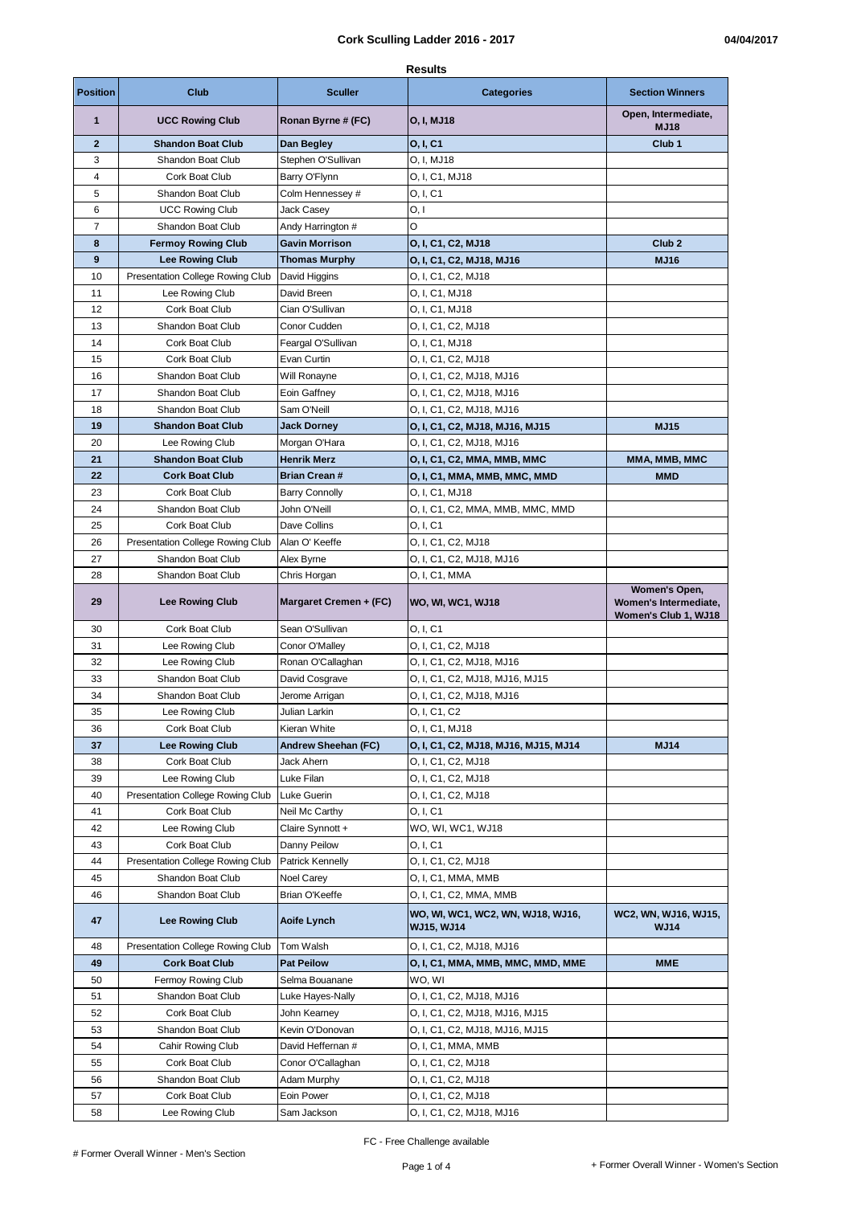|                 | <b>Results</b>                          |                        |                                                        |                                               |  |
|-----------------|-----------------------------------------|------------------------|--------------------------------------------------------|-----------------------------------------------|--|
| <b>Position</b> | Club                                    | Sculler                | <b>Categories</b>                                      | <b>Section Winners</b>                        |  |
| 1               | <b>UCC Rowing Club</b>                  | Ronan Byrne # (FC)     | O, I, MJ18                                             | Open, Intermediate,<br><b>MJ18</b>            |  |
| $\overline{2}$  | <b>Shandon Boat Club</b>                | Dan Begley             | 0, I, C1                                               | Club <sub>1</sub>                             |  |
| 3               | Shandon Boat Club                       | Stephen O'Sullivan     | O. I. MJ18                                             |                                               |  |
| 4               | Cork Boat Club                          | Barry O'Flynn          | O, I, C1, MJ18                                         |                                               |  |
| 5               | Shandon Boat Club                       | Colm Hennessey #       | O, I, C1                                               |                                               |  |
| 6               | <b>UCC Rowing Club</b>                  | Jack Casey             | 0, I                                                   |                                               |  |
| 7               | Shandon Boat Club                       | Andy Harrington #      | O                                                      |                                               |  |
| 8               | <b>Fermoy Rowing Club</b>               | <b>Gavin Morrison</b>  | O, I, C1, C2, MJ18                                     | Club <sub>2</sub>                             |  |
| 9               | <b>Lee Rowing Club</b>                  | <b>Thomas Murphy</b>   | O, I, C1, C2, MJ18, MJ16                               | <b>MJ16</b>                                   |  |
| 10              | <b>Presentation College Rowing Club</b> | David Higgins          | O, I, C1, C2, MJ18                                     |                                               |  |
| 11              | Lee Rowing Club                         | David Breen            | O, I, C1, MJ18                                         |                                               |  |
| 12              | Cork Boat Club                          | Cian O'Sullivan        | O, I, C1, MJ18                                         |                                               |  |
| 13              | Shandon Boat Club                       | Conor Cudden           | O, I, C1, C2, MJ18                                     |                                               |  |
| 14              | Cork Boat Club                          | Feargal O'Sullivan     | O, I, C1, MJ18                                         |                                               |  |
| 15              | Cork Boat Club                          | Evan Curtin            | O, I, C1, C2, MJ18                                     |                                               |  |
| 16              | Shandon Boat Club                       | Will Ronayne           | O, I, C1, C2, MJ18, MJ16                               |                                               |  |
| 17              | Shandon Boat Club                       | Eoin Gaffney           | O, I, C1, C2, MJ18, MJ16                               |                                               |  |
| 18              | Shandon Boat Club                       | Sam O'Neill            | O, I, C1, C2, MJ18, MJ16                               |                                               |  |
| 19              | <b>Shandon Boat Club</b>                | <b>Jack Dorney</b>     | O, I, C1, C2, MJ18, MJ16, MJ15                         | <b>MJ15</b>                                   |  |
| 20              | Lee Rowing Club                         | Morgan O'Hara          | O, I, C1, C2, MJ18, MJ16                               |                                               |  |
| 21              | <b>Shandon Boat Club</b>                | <b>Henrik Merz</b>     | O, I, C1, C2, MMA, MMB, MMC                            | MMA, MMB, MMC                                 |  |
| 22              | <b>Cork Boat Club</b>                   | <b>Brian Crean#</b>    | O, I, C1, MMA, MMB, MMC, MMD                           | MMD                                           |  |
| 23              | Cork Boat Club                          | <b>Barry Connolly</b>  | O, I, C1, MJ18                                         |                                               |  |
| 24              | Shandon Boat Club                       |                        |                                                        |                                               |  |
| 25              |                                         | John O'Neill           | O, I, C1, C2, MMA, MMB, MMC, MMD                       |                                               |  |
| 26              | Cork Boat Club                          | Dave Collins           | 0, I, C1                                               |                                               |  |
|                 | Presentation College Rowing Club        | Alan O' Keeffe         | O, I, C1, C2, MJ18                                     |                                               |  |
| 27              | Shandon Boat Club                       | Alex Byrne             | O, I, C1, C2, MJ18, MJ16                               |                                               |  |
| 28              | Shandon Boat Club                       | Chris Horgan           | O, I, C1, MMA                                          | Women's Open,                                 |  |
| 29              | <b>Lee Rowing Club</b>                  | Margaret Cremen + (FC) | WO, WI, WC1, WJ18                                      | Women's Intermediate,<br>Women's Club 1, WJ18 |  |
| 30              | Cork Boat Club                          | Sean O'Sullivan        | 0, I, C1                                               |                                               |  |
| 31              | Lee Rowing Club                         | Conor O'Malley         | O, I, C1, C2, MJ18                                     |                                               |  |
| 32              | Lee Rowing Club                         | Ronan O'Callaghan      | O, I, C1, C2, MJ18, MJ16                               |                                               |  |
| 33              | Shandon Boat Club                       | David Cosgrave         | O, I, C1, C2, MJ18, MJ16, MJ15                         |                                               |  |
| 34              | Shandon Boat Club                       | Jerome Arrigan         | O, I, C1, C2, MJ18, MJ16                               |                                               |  |
| 35              | Lee Rowing Club                         | Julian Larkin          | O, I, C1, C2                                           |                                               |  |
| 36              | Cork Boat Club                          | Kieran White           | O, I, C1, MJ18                                         |                                               |  |
| 37              | <b>Lee Rowing Club</b>                  | Andrew Sheehan (FC)    | O, I, C1, C2, MJ18, MJ16, MJ15, MJ14                   | <b>MJ14</b>                                   |  |
| 38              | Cork Boat Club                          | Jack Ahern             | O, I, C1, C2, MJ18                                     |                                               |  |
| 39              | Lee Rowing Club                         | Luke Filan             | O, I, C1, C2, MJ18                                     |                                               |  |
| 40              | Presentation College Rowing Club        | Luke Guerin            | O. I. C1, C2, MJ18                                     |                                               |  |
| 41              | Cork Boat Club                          | Neil Mc Carthy         | 0, I, C1                                               |                                               |  |
| 42              | Lee Rowing Club                         | Claire Synnott +       | WO, WI, WC1, WJ18                                      |                                               |  |
| 43              | Cork Boat Club                          | Danny Peilow           | 0, I, C1                                               |                                               |  |
| 44              | Presentation College Rowing Club        | Patrick Kennelly       | O, I, C1, C2, MJ18                                     |                                               |  |
| 45              | Shandon Boat Club                       | Noel Carey             | O, I, C1, MMA, MMB                                     |                                               |  |
| 46              | Shandon Boat Club                       | Brian O'Keeffe         | O, I, C1, C2, MMA, MMB                                 |                                               |  |
| 47              | <b>Lee Rowing Club</b>                  | Aoife Lynch            | WO, WI, WC1, WC2, WN, WJ18, WJ16,<br><b>WJ15, WJ14</b> | WC2, WN, WJ16, WJ15,<br><b>WJ14</b>           |  |
| 48              | Presentation College Rowing Club        | Tom Walsh              | O, I, C1, C2, MJ18, MJ16                               |                                               |  |
| 49              | <b>Cork Boat Club</b>                   | <b>Pat Peilow</b>      | O, I, C1, MMA, MMB, MMC, MMD, MME                      | MME                                           |  |
| 50              | Fermoy Rowing Club                      | Selma Bouanane         | WO, WI                                                 |                                               |  |
| 51              | Shandon Boat Club                       | Luke Hayes-Nally       | O, I, C1, C2, MJ18, MJ16                               |                                               |  |
| 52              | Cork Boat Club                          | John Kearney           | O, I, C1, C2, MJ18, MJ16, MJ15                         |                                               |  |
| 53              | Shandon Boat Club                       | Kevin O'Donovan        | O, I, C1, C2, MJ18, MJ16, MJ15                         |                                               |  |
| 54              | Cahir Rowing Club                       | David Heffernan #      | O, I, C1, MMA, MMB                                     |                                               |  |
| 55              | Cork Boat Club                          | Conor O'Callaghan      | O, I, C1, C2, MJ18                                     |                                               |  |
| 56              | Shandon Boat Club                       | Adam Murphy            | O, I, C1, C2, MJ18                                     |                                               |  |
| 57              | Cork Boat Club                          | Eoin Power             | O, I, C1, C2, MJ18                                     |                                               |  |
| 58              | Lee Rowing Club                         | Sam Jackson            | O, I, C1, C2, MJ18, MJ16                               |                                               |  |
|                 |                                         |                        |                                                        |                                               |  |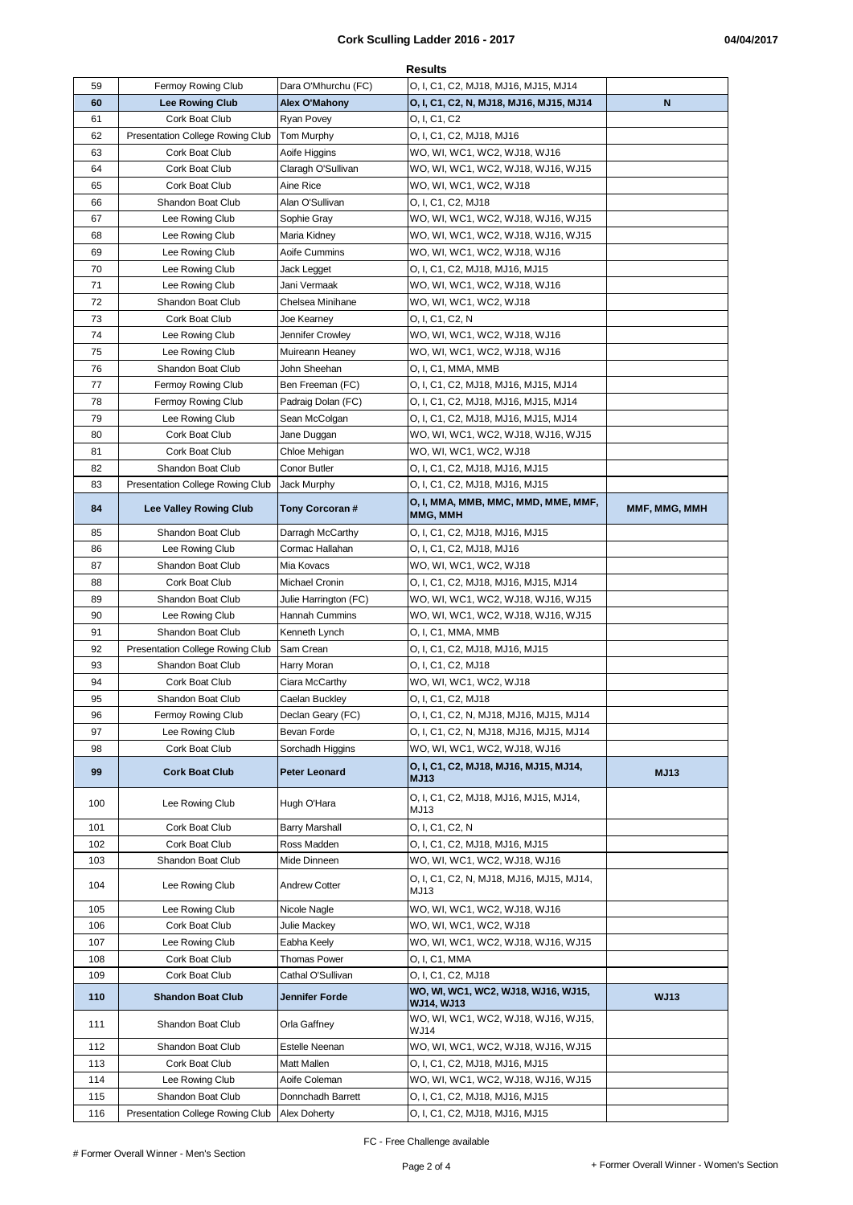|     |                                         |                       | <b>Results</b>                                    |               |
|-----|-----------------------------------------|-----------------------|---------------------------------------------------|---------------|
| 59  | Fermoy Rowing Club                      | Dara O'Mhurchu (FC)   | O, I, C1, C2, MJ18, MJ16, MJ15, MJ14              |               |
| 60  | <b>Lee Rowing Club</b>                  | Alex O'Mahony         | O, I, C1, C2, N, MJ18, MJ16, MJ15, MJ14           | N             |
| 61  | Cork Boat Club                          | Ryan Povey            | O, I, C1, C2                                      |               |
| 62  | <b>Presentation College Rowing Club</b> | Tom Murphy            | O, I, C1, C2, MJ18, MJ16                          |               |
| 63  | Cork Boat Club                          | Aoife Higgins         | WO, WI, WC1, WC2, WJ18, WJ16                      |               |
| 64  | Cork Boat Club                          | Claragh O'Sullivan    | WO, WI, WC1, WC2, WJ18, WJ16, WJ15                |               |
| 65  | Cork Boat Club                          | Aine Rice             | WO, WI, WC1, WC2, WJ18                            |               |
| 66  | <b>Shandon Boat Club</b>                | Alan O'Sullivan       | O, I, C1, C2, MJ18                                |               |
| 67  | Lee Rowing Club                         | Sophie Gray           | WO, WI, WC1, WC2, WJ18, WJ16, WJ15                |               |
| 68  | Lee Rowing Club                         | Maria Kidney          | WO, WI, WC1, WC2, WJ18, WJ16, WJ15                |               |
| 69  | Lee Rowing Club                         | Aoife Cummins         | WO, WI, WC1, WC2, WJ18, WJ16                      |               |
| 70  | Lee Rowing Club                         | Jack Legget           | O, I, C1, C2, MJ18, MJ16, MJ15                    |               |
| 71  | Lee Rowing Club                         | Jani Vermaak          | WO, WI, WC1, WC2, WJ18, WJ16                      |               |
| 72  | Shandon Boat Club                       | Chelsea Minihane      | WO, WI, WC1, WC2, WJ18                            |               |
| 73  | Cork Boat Club                          | Joe Kearney           | O, I, C1, C2, N                                   |               |
| 74  | Lee Rowing Club                         | Jennifer Crowley      | WO, WI, WC1, WC2, WJ18, WJ16                      |               |
| 75  | Lee Rowing Club                         | Muireann Heaney       | WO, WI, WC1, WC2, WJ18, WJ16                      |               |
| 76  | Shandon Boat Club                       | John Sheehan          | O, I, C1, MMA, MMB                                |               |
| 77  | <b>Fermoy Rowing Club</b>               | Ben Freeman (FC)      | O, I, C1, C2, MJ18, MJ16, MJ15, MJ14              |               |
| 78  | Fermoy Rowing Club                      | Padraig Dolan (FC)    | O, I, C1, C2, MJ18, MJ16, MJ15, MJ14              |               |
| 79  | Lee Rowing Club                         | Sean McColgan         | O, I, C1, C2, MJ18, MJ16, MJ15, MJ14              |               |
| 80  | Cork Boat Club                          | Jane Duggan           | WO, WI, WC1, WC2, WJ18, WJ16, WJ15                |               |
| 81  | Cork Boat Club                          | Chloe Mehigan         | WO, WI, WC1, WC2, WJ18                            |               |
| 82  | Shandon Boat Club                       | Conor Butler          | O, I, C1, C2, MJ18, MJ16, MJ15                    |               |
| 83  | Presentation College Rowing Club        | Jack Murphy           | O, I, C1, C2, MJ18, MJ16, MJ15                    |               |
|     |                                         |                       | O, I, MMA, MMB, MMC, MMD, MME, MMF,               |               |
| 84  | <b>Lee Valley Rowing Club</b>           | Tony Corcoran #       | MMG, MMH                                          | MMF, MMG, MMH |
| 85  | Shandon Boat Club                       | Darragh McCarthy      | O, I, C1, C2, MJ18, MJ16, MJ15                    |               |
| 86  | Lee Rowing Club                         | Cormac Hallahan       | O, I, C1, C2, MJ18, MJ16                          |               |
| 87  | Shandon Boat Club                       | Mia Kovacs            | WO, WI, WC1, WC2, WJ18                            |               |
| 88  | Cork Boat Club                          | Michael Cronin        | O, I, C1, C2, MJ18, MJ16, MJ15, MJ14              |               |
| 89  | Shandon Boat Club                       | Julie Harrington (FC) | WO, WI, WC1, WC2, WJ18, WJ16, WJ15                |               |
| 90  | Lee Rowing Club                         |                       | WO, WI, WC1, WC2, WJ18, WJ16, WJ15                |               |
|     |                                         | Hannah Cummins        |                                                   |               |
| 91  | Shandon Boat Club                       | Kenneth Lynch         | O, I, C1, MMA, MMB                                |               |
| 92  | Presentation College Rowing Club        | Sam Crean             | O, I, C1, C2, MJ18, MJ16, MJ15                    |               |
| 93  | Shandon Boat Club                       | Harry Moran           | O, I, C1, C2, MJ18                                |               |
| 94  | Cork Boat Club                          | Ciara McCarthy        | WO, WI, WC1, WC2, WJ18                            |               |
| 95  | Shandon Boat Club                       | Caelan Buckley        | O, I, C1, C2, MJ18                                |               |
| 96  | Fermoy Rowing Club                      | Declan Geary (FC)     | O, I, C1, C2, N, MJ18, MJ16, MJ15, MJ14           |               |
| 97  | Lee Rowing Club                         | Bevan Forde           | O, I, C1, C2, N, MJ18, MJ16, MJ15, MJ14           |               |
| 98  | Cork Boat Club                          | Sorchadh Higgins      | WO, WI, WC1, WC2, WJ18, WJ16                      |               |
|     |                                         |                       | O, I, C1, C2, MJ18, MJ16, MJ15, MJ14,             |               |
| 99  | <b>Cork Boat Club</b>                   | Peter Leonard         | <b>MJ13</b>                                       | <b>MJ13</b>   |
| 100 | Lee Rowing Club                         | Hugh O'Hara           | O, I, C1, C2, MJ18, MJ16, MJ15, MJ14,<br>MJ13     |               |
| 101 | Cork Boat Club                          | Barry Marshall        | 0, I, C1, C2, N                                   |               |
| 102 | Cork Boat Club                          | Ross Madden           | O, I, C1, C2, MJ18, MJ16, MJ15                    |               |
| 103 | Shandon Boat Club                       | Mide Dinneen          | WO, WI, WC1, WC2, WJ18, WJ16                      |               |
| 104 | Lee Rowing Club                         | <b>Andrew Cotter</b>  | O, I, C1, C2, N, MJ18, MJ16, MJ15, MJ14,<br>MJ13  |               |
| 105 | Lee Rowing Club                         | Nicole Nagle          | WO, WI, WC1, WC2, WJ18, WJ16                      |               |
| 106 | Cork Boat Club                          | Julie Mackey          | WO, WI, WC1, WC2, WJ18                            |               |
| 107 | Lee Rowing Club                         | Eabha Keely           | WO, WI, WC1, WC2, WJ18, WJ16, WJ15                |               |
| 108 | Cork Boat Club                          | Thomas Power          | O, I, C1, MMA                                     |               |
| 109 | Cork Boat Club                          | Cathal O'Sullivan     | O, I, C1, C2, MJ18                                |               |
| 110 | <b>Shandon Boat Club</b>                | Jennifer Forde        | WO, WI, WC1, WC2, WJ18, WJ16, WJ15,<br>WJ14, WJ13 | <b>WJ13</b>   |
| 111 | Shandon Boat Club                       | Orla Gaffney          | WO, WI, WC1, WC2, WJ18, WJ16, WJ15,<br>WJ14       |               |
| 112 | Shandon Boat Club                       | Estelle Neenan        | WO, WI, WC1, WC2, WJ18, WJ16, WJ15                |               |
| 113 | Cork Boat Club                          | Matt Mallen           | O, I, C1, C2, MJ18, MJ16, MJ15                    |               |
| 114 | Lee Rowing Club                         | Aoife Coleman         | WO, WI, WC1, WC2, WJ18, WJ16, WJ15                |               |
| 115 | Shandon Boat Club                       | Donnchadh Barrett     | O, I, C1, C2, MJ18, MJ16, MJ15                    |               |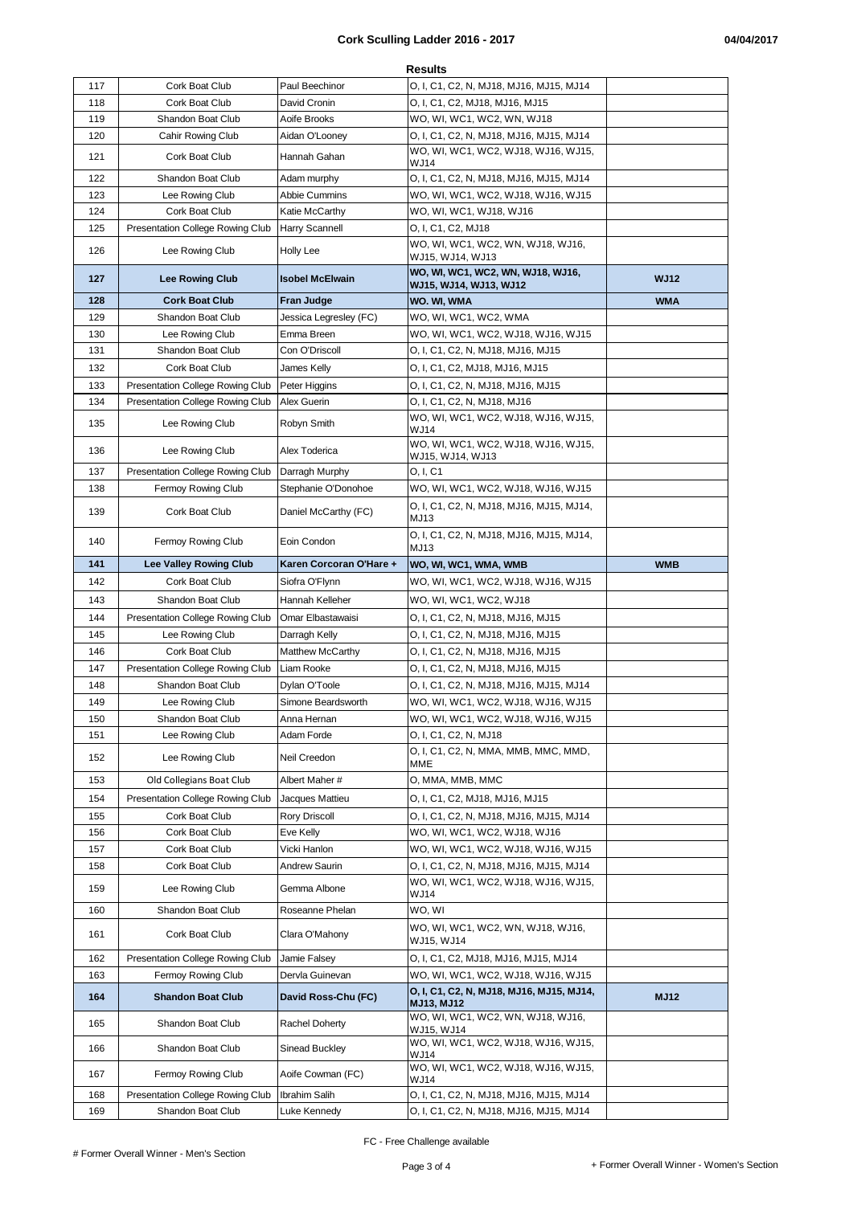| <b>Results</b> |                                  |                         |                                                             |             |  |
|----------------|----------------------------------|-------------------------|-------------------------------------------------------------|-------------|--|
| 117            | Cork Boat Club                   | Paul Beechinor          | O, I, C1, C2, N, MJ18, MJ16, MJ15, MJ14                     |             |  |
| 118            | Cork Boat Club                   | David Cronin            | O, I, C1, C2, MJ18, MJ16, MJ15                              |             |  |
| 119            | Shandon Boat Club                | Aoife Brooks            | WO, WI, WC1, WC2, WN, WJ18                                  |             |  |
| 120            | Cahir Rowing Club                | Aidan O'Looney          | O, I, C1, C2, N, MJ18, MJ16, MJ15, MJ14                     |             |  |
| 121            | Cork Boat Club                   | Hannah Gahan            | WO, WI, WC1, WC2, WJ18, WJ16, WJ15,<br>WJ14                 |             |  |
| 122            | Shandon Boat Club                | Adam murphy             | O, I, C1, C2, N, MJ18, MJ16, MJ15, MJ14                     |             |  |
| 123            | Lee Rowing Club                  | Abbie Cummins           | WO, WI, WC1, WC2, WJ18, WJ16, WJ15                          |             |  |
| 124            | Cork Boat Club                   | Katie McCarthy          | WO, WI, WC1, WJ18, WJ16                                     |             |  |
| 125            | Presentation College Rowing Club | <b>Harry Scannell</b>   | O, I, C1, C2, MJ18                                          |             |  |
| 126            | Lee Rowing Club                  | Holly Lee               | WO, WI, WC1, WC2, WN, WJ18, WJ16,<br>WJ15, WJ14, WJ13       |             |  |
| 127            | <b>Lee Rowing Club</b>           | <b>Isobel McElwain</b>  | WO, WI, WC1, WC2, WN, WJ18, WJ16,<br>WJ15, WJ14, WJ13, WJ12 | <b>WJ12</b> |  |
| 128            | <b>Cork Boat Club</b>            | <b>Fran Judge</b>       | WO. WI, WMA                                                 | <b>WMA</b>  |  |
| 129            | Shandon Boat Club                | Jessica Legresley (FC)  | WO, WI, WC1, WC2, WMA                                       |             |  |
| 130            | Lee Rowing Club                  | Emma Breen              | WO, WI, WC1, WC2, WJ18, WJ16, WJ15                          |             |  |
| 131            | Shandon Boat Club                | Con O'Driscoll          | O, I, C1, C2, N, MJ18, MJ16, MJ15                           |             |  |
| 132            | Cork Boat Club                   | James Kelly             | O, I, C1, C2, MJ18, MJ16, MJ15                              |             |  |
| 133            | Presentation College Rowing Club | Peter Higgins           | O, I, C1, C2, N, MJ18, MJ16, MJ15                           |             |  |
| 134            | Presentation College Rowing Club | Alex Guerin             | O, I, C1, C2, N, MJ18, MJ16                                 |             |  |
| 135            | Lee Rowing Club                  | Robyn Smith             | WO, WI, WC1, WC2, WJ18, WJ16, WJ15,<br><b>WJ14</b>          |             |  |
| 136            | Lee Rowing Club                  | Alex Toderica           | WO, WI, WC1, WC2, WJ18, WJ16, WJ15,<br>WJ15, WJ14, WJ13     |             |  |
| 137            | Presentation College Rowing Club | Darragh Murphy          | O. I. C1                                                    |             |  |
| 138            | <b>Fermoy Rowing Club</b>        | Stephanie O'Donohoe     | WO, WI, WC1, WC2, WJ18, WJ16, WJ15                          |             |  |
| 139            | Cork Boat Club                   | Daniel McCarthy (FC)    | O, I, C1, C2, N, MJ18, MJ16, MJ15, MJ14,                    |             |  |
| 140            | Fermoy Rowing Club               | Eoin Condon             | MJ13<br>O, I, C1, C2, N, MJ18, MJ16, MJ15, MJ14,            |             |  |
|                |                                  |                         | MJ13                                                        |             |  |
| 141            | <b>Lee Valley Rowing Club</b>    | Karen Corcoran O'Hare + | WO, WI, WC1, WMA, WMB                                       | <b>WMB</b>  |  |
| 142            | Cork Boat Club                   | Siofra O'Flynn          | WO, WI, WC1, WC2, WJ18, WJ16, WJ15                          |             |  |
| 143            | Shandon Boat Club                | Hannah Kelleher         | WO, WI, WC1, WC2, WJ18                                      |             |  |
| 144            | Presentation College Rowing Club | Omar Elbastawaisi       | O, I, C1, C2, N, MJ18, MJ16, MJ15                           |             |  |
| 145            | Lee Rowing Club                  | Darragh Kelly           | O, I, C1, C2, N, MJ18, MJ16, MJ15                           |             |  |
| 146            | Cork Boat Club                   | <b>Matthew McCarthy</b> | O, I, C1, C2, N, MJ18, MJ16, MJ15                           |             |  |
| 147            |                                  |                         |                                                             |             |  |
|                | Presentation College Rowing Club | Liam Rooke              | O, I, C1, C2, N, MJ18, MJ16, MJ15                           |             |  |
| 148            | Shandon Boat Club                | Dylan O'Toole           | O, I, C1, C2, N, MJ18, MJ16, MJ15, MJ14                     |             |  |
| 149            | Lee Rowing Club                  | Simone Beardsworth      | WO, WI, WC1, WC2, WJ18, WJ16, WJ15                          |             |  |
| 150            | Shandon Boat Club                | Anna Hernan             | WO, WI, WC1, WC2, WJ18, WJ16, WJ15                          |             |  |
| 151            | Lee Rowing Club                  | Adam Forde              | O, I, C1, C2, N, MJ18                                       |             |  |
| 152            | Lee Rowing Club                  | Neil Creedon            | O, I, C1, C2, N, MMA, MMB, MMC, MMD,<br>MME                 |             |  |
| 153            | Old Collegians Boat Club         | Albert Maher #          | O, MMA, MMB, MMC                                            |             |  |
| 154            | Presentation College Rowing Club | Jacques Mattieu         | O, I, C1, C2, MJ18, MJ16, MJ15                              |             |  |
| 155            | Cork Boat Club                   | Rory Driscoll           | O, I, C1, C2, N, MJ18, MJ16, MJ15, MJ14                     |             |  |
| 156            | Cork Boat Club                   | Eve Kelly               | WO, WI, WC1, WC2, WJ18, WJ16                                |             |  |
| 157            | Cork Boat Club                   | Vicki Hanlon            | WO, WI, WC1, WC2, WJ18, WJ16, WJ15                          |             |  |
| 158            | Cork Boat Club                   | Andrew Saurin           | O, I, C1, C2, N, MJ18, MJ16, MJ15, MJ14                     |             |  |
| 159            | Lee Rowing Club                  | Gemma Albone            | WO, WI, WC1, WC2, WJ18, WJ16, WJ15,<br><b>WJ14</b>          |             |  |
| 160            | Shandon Boat Club                | Roseanne Phelan         | WO, WI                                                      |             |  |
| 161            | Cork Boat Club                   | Clara O'Mahony          | WO, WI, WC1, WC2, WN, WJ18, WJ16,<br><b>WJ15, WJ14</b>      |             |  |
| 162            | Presentation College Rowing Club | Jamie Falsey            | O, I, C1, C2, MJ18, MJ16, MJ15, MJ14                        |             |  |
| 163            | Fermoy Rowing Club               | Dervla Guinevan         | WO, WI, WC1, WC2, WJ18, WJ16, WJ15                          |             |  |
| 164            | <b>Shandon Boat Club</b>         | David Ross-Chu (FC)     | O, I, C1, C2, N, MJ18, MJ16, MJ15, MJ14,                    | <b>MJ12</b> |  |
| 165            | Shandon Boat Club                | Rachel Doherty          | MJ13, MJ12<br>WO, WI, WC1, WC2, WN, WJ18, WJ16,             |             |  |
| 166            | Shandon Boat Club                | Sinead Buckley          | WJ15, WJ14<br>WO, WI, WC1, WC2, WJ18, WJ16, WJ15,           |             |  |
| 167            | Fermoy Rowing Club               | Aoife Cowman (FC)       | WJ14<br>WO, WI, WC1, WC2, WJ18, WJ16, WJ15,<br>WJ14         |             |  |
| 168            | Presentation College Rowing Club | Ibrahim Salih           | O, I, C1, C2, N, MJ18, MJ16, MJ15, MJ14                     |             |  |